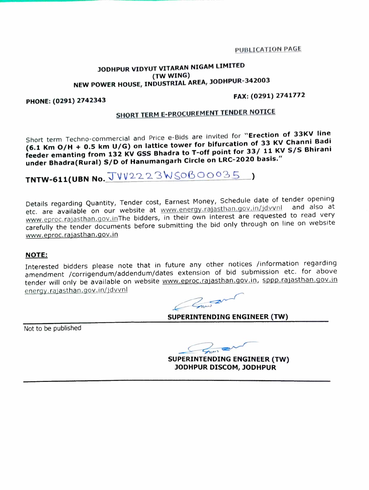#### **P-UPL.lCATlON PAGt**

### **JODHPUR VIDYUT VITARAN NIGAM LIMITED (TW WING) NEW POWER HOUSE, INDUSTRIAL AREA, JODHPUR-342003**

#### **PHONE: (0291} 2742343**

### **FAX:(0291)2741772**

## **SHORT TERM E-PROCUREMENT TENDER NOTICE**

Short term Techno-commerclal and Price e-Blds are Invited for **"Erection of 33KV line (6.1 Km 0/H + 0.5 km U/G} on lattlce tower for bifurcation of 33 KV Channi Badi feeder emanting from 132 KV GSS Bhadra to T-off point for 33/ 11 KV S/S Bhirani under Bhadra(Rural} S/D of Hanumangarh Circle on LRC-2020 basis."** 

 $TNTW-611(UBN No.  JVV22223WSO60035 )$ 

Details regarding Quantity, Tender cost, Earnest Money, Schedule date of tender opening<br>Let also at the contract website at www.energy rajasthan.gov.in/idvvnl and also at etc. are available on our website at www.energy.rajasthan.gov.in/jdvvnl www.eproc.rajasthan.gov.inThe bidders, in their own interest are requested to read very carefully the tender documents before submitting the bid only through on line on website www.eproc.rajasthan.gov. in

#### **NOTE:**

Interested bidders please note that in future any other notices /information regarding amendment /corrigendum/addendum/dates extension of bid submission etc. for above tender will only be available on website www.eproc.rajasthan.gov.in, sppp.rajasthan.gov.in energy. raiasthan .gov. in/idvvnl ture any other notices /inform<br>
extension of bid submission<br>
w.eproc.rajasthan.gov.in, sppp<br>
UPERINTENDING ENGINEER (T

**SUPERINTENDING ENGINEER (TW)** 

Not to be published

**SUPERINTENDING ENGINEER (TW) JODHPUR DISCOM, JODHPUR**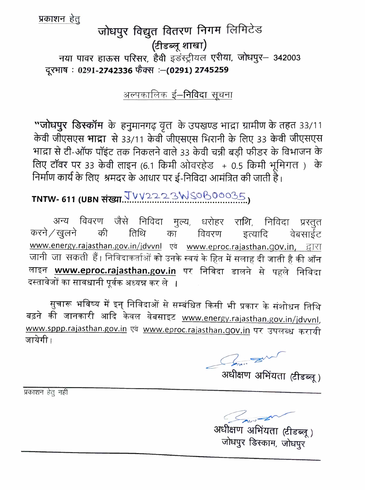प्रकाशन हेतू

# जोधपुर विद्युत वितरण निगम लिमिटेड (टीडब्लू शाखा) नया पावर हाऊस परिसर, हैवी इंडस्ट्रीयल एरीया, जोधपुर- 342003 दूरभाष : 0291-2742336 फेंक्स :- (0291) 2745259

### अल्पकालिक ई–**निविदा सूचना**

"जोधपुर डिस्कॉम के हनुमानगढ़ वृत के उपखण्ड भाद्रा ग्रामीण के तहत 33/11 केवी जीएसएस भाद्रा से 33/11 केवी जीएसएस भिरानी के लिए 33 केवी जीएसएस भाद्रा से टी-ऑफ पॉइंट तक निकलने वाले 33 केवी चन्नी बड़ी फीडर के विभाजन के लिए टॉवर पर 33 केवी लाइन (6.1 किमी ओवरहेड + 0.5 किमी भूमिगत) के निर्माण कार्य के लिए श्रमदर के आधार पर ई-निविदा आमंत्रित की जाती है।

# TNTW- 611 (UBN संख्या. TVV2223WS0B00035,

अन्य विवरण जैसे निविदा मुल्य, धरोहर राशि, निविदा प्रस्तुत करने / खुलने की तिथि का विवरण इत्यादि वेबसाईट www.energy.rajasthan.gov.in/jdvvnl एवं www.eproc.rajasthan.gov.in, द्वारा जानी जा सकती हैं। निविदाकर्ताओं को उनके स्वयं के हित में सलाह दी जाती है की ऑन लाइन www.eproc.rajasthan.gov.in पर निविदा डालने से पहले निविदा दस्तावेजों का सावधानी पूर्वक अध्यन्न कर ले ।

सुचारू भविष्य में इन् निविदाओं से सम्बंधित किसी भी प्रकार के संशोधन तिथि बढ़ने की जानकारी आदि केवल वेबसाइट <u>www.energy.rajasthan.gov.in/jdvvnl</u>, www.sppp.rajasthan.gov.in एवं www.eproc.rajasthan.gov.in पर उपलब्ध करायी जायेगी ।

*निया स्थाप हैं*।<br>अधीक्षण अभिंयता (टीडब्लू)

प्रकाशन हेतू नहीं

अधीक्षण अभिंयता (टीडब्लू )<br>जोधपुर डिस्काम, जोधपुर